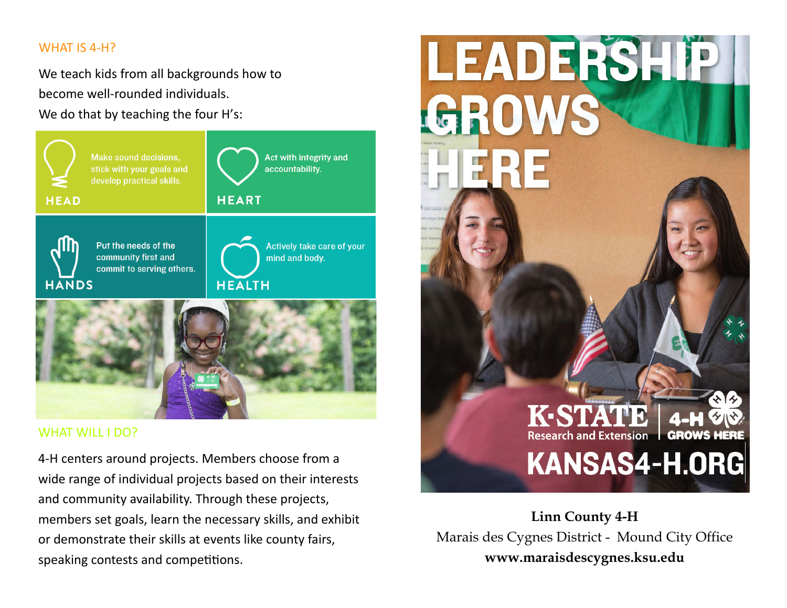## WHAT IS 4‐H?

We teach kids from all backgrounds how to become well‐rounded individuals. We do that by teaching the four H's:



## WHAT WILL I DO?

4‐H centers around projects. Members choose from a wide range of individual projects based on their interests and community availability. Through these projects, members set goals, learn the necessary skills, and exhibit or demonstrate their skills at events like county fairs, speaking contests and competitions.



**Linn County 4-H** Marais des Cygnes District - Mound City Office **www.maraisdescygnes.ksu.edu**